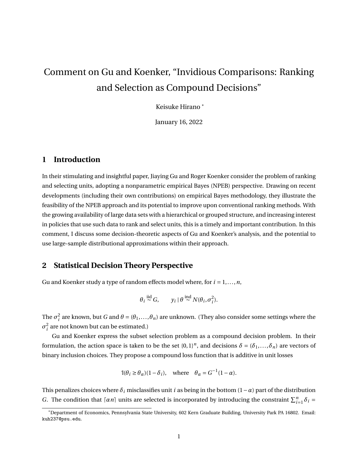# Comment on Gu and Koenker, "Invidious Comparisons: Ranking and Selection as Compound Decisions"

Keisuke Hirano \*

January 16, 2022

#### **1 Introduction**

In their stimulating and insightful paper, Jiaying Gu and Roger Koenker consider the problem of ranking and selecting units, adopting a nonparametric empirical Bayes (NPEB) perspective. Drawing on recent developments (including their own contributions) on empirical Bayes methodology, they illustrate the feasibility of the NPEB approach and its potential to improve upon conventional ranking methods. With the growing availability of large data sets with a hierarchical or grouped structure, and increasing interest in policies that use such data to rank and select units, this is a timely and important contribution. In this comment, I discuss some decision-theoretic aspects of Gu and Koenker's analysis, and the potential to use large-sample distributional approximations within their approach.

#### **2 Statistical Decision Theory Perspective**

Gu and Koenker study a type of random effects model where, for *i* = 1,...,*n*,

$$
\theta_i \stackrel{\text{iid}}{\sim} G, \qquad y_i \mid \theta \stackrel{\text{ind}}{\sim} N(\theta_i, \sigma_i^2).
$$

The  $\sigma_i^2$  are known, but *G* and  $\theta = (\theta_1, ..., \theta_n)$  are unknown. (They also consider some settings where the  $\sigma_i^2$  are not known but can be estimated.)

Gu and Koenker express the subset selection problem as a compound decision problem. In their formulation, the action space is taken to be the set  $\{0,1\}^n$ , and decisions  $\delta = (\delta_1,\ldots,\delta_n)$  are vectors of binary inclusion choices. They propose a compound loss function that is additive in unit losses

$$
\mathbb{I}(\theta_i \ge \theta_\alpha)(1 - \delta_i), \quad \text{where} \quad \theta_\alpha = G^{-1}(1 - \alpha).
$$

This penalizes choices where  $\delta_i$  misclassifies unit *i* as being in the bottom  $(1 - \alpha)$  part of the distribution *G*. The condition that  $[a_n]$  units are selected is incorporated by introducing the constraint  $\sum_{i=1}^n \delta_i =$ 

<sup>\*</sup>Department of Economics, Pennsylvania State University, 602 Kern Graduate Building, University Park PA 16802. Email: kuh237@psu.edu.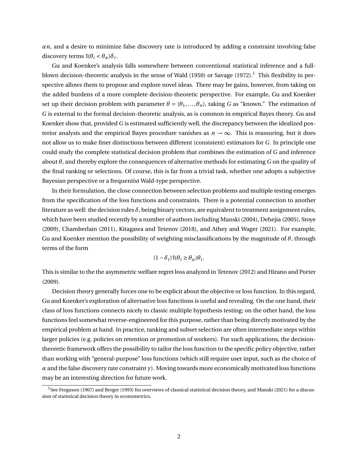*αn*, and a desire to minimize false discovery rate is introduced by adding a constraint involving false discovery terms  $\mathbb{I}(\theta_i < \theta_\alpha)\delta_i$ .

Gu and Koenker's analysis falls somewhere between conventional statistical inference and a fullblown decision-theoretic analysis in the sense of Wald (1950) or Savage (1972).<sup>1</sup> This flexibility in perspective allows them to propose and explore novel ideas. There may be gains, however, from taking on the added burdens of a more complete decision-theoretic perspective. For example, Gu and Koenker set up their decision problem with parameter  $\theta = (\theta_1, \ldots, \theta_n)$ , taking *G* as "known." The estimation of *G* is external to the formal decision-theoretic analysis, as is common in empirical Bayes theory. Gu and Koenker show that, provided *G* is estimated sufficiently well, the discrepancy between the idealized posterior analysis and the empirical Bayes procedure vanishes as  $n \to \infty$ . This is reassuring, but it does not allow us to make finer distinctions between different (consistent) estimators for *G*. In principle one could study the complete statistical decision problem that combines the estimation of *G* and inference about *θ*, and thereby explore the consequences of alternative methods for estimating *G* on the quality of the final ranking or selections. Of course, this is far from a trivial task, whether one adopts a subjective Bayesian perspective or a frequentist Wald-type perspective.

In their formulation, the close connection between selection problems and multiple testing emerges from the specification of the loss functions and constraints. There is a potential connection to another literature as well: the decision rules  $\delta$ , being binary vectors, are equivalent to treatment assignment rules, which have been studied recently by a number of authors including Manski (2004), Dehejia (2005), Stoye (2009), Chamberlain (2011), Kitagawa and Tetenov (2018), and Athey and Wager (2021). For example, Gu and Koenker mention the possibility of weighting misclassifications by the magnitude of *θ*, through terms of the form

$$
(1-\delta_i)\mathbb{1}(\theta_i \geq \theta_\alpha)\theta_i.
$$

This is similar to the the asymmetric welfare regret loss analyzed in Tetenov (2012) and Hirano and Porter (2009).

Decision theory generally forces one to be explicit about the objective or loss function. In this regard, Gu and Koenker's exploration of alternative loss functions is useful and revealing. On the one hand, their class of loss functions connects nicely to classic multiple hypothesis testing; on the other hand, the loss functions feel somewhat reverse-engineered for this purpose, rather than being directly motivated by the empirical problem at hand. In practice, ranking and subset selection are often intermediate steps within larger policies (e.g. policies on retention or promotion of workers). For such applications, the decisiontheoretic framework offers the possibility to tailor the loss function to the specific policy objective, rather than working with "general-purpose" loss functions (which still require user input, such as the choice of *α* and the false discovery rate constraint *γ*). Moving towards more economically motivated loss functions may be an interesting direction for future work.

<sup>&</sup>lt;sup>1</sup>See Ferguson (1967) and Berger (1993) for overviews of classical statistical decision theory, and Manski (2021) for a discussion of statistical decision theory in econometrics.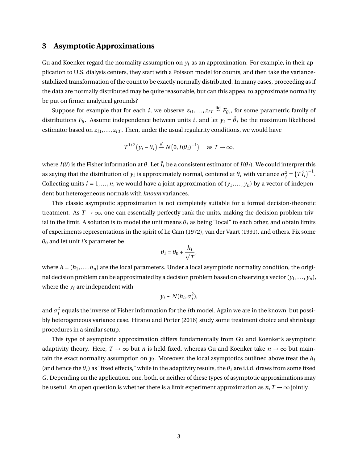## **3 Asymptotic Approximations**

Gu and Koenker regard the normality assumption on  $y_i$  as an approximation. For example, in their application to U.S. dialysis centers, they start with a Poisson model for counts, and then take the variancestabilized transformation of the count to be exactly normally distributed. In many cases, proceeding as if the data are normally distributed may be quite reasonable, but can this appeal to approximate normality be put on firmer analytical grounds?

Suppose for example that for each *i*, we observe  $z_{i1},...,z_{iT} \stackrel{\text{iid}}{\sim} F_{\theta_i}$ , for some parametric family of distributions  $F_{\theta}$ . Assume independence between units  $i$ , and let  $y_i = \hat{\theta}_i$  be the maximum likelihood estimator based on  $z_{i1},...,z_{iT}$ . Then, under the usual regularity conditions, we would have

$$
T^{1/2} (y_i - \theta_i) \xrightarrow{d} N(0, I(\theta_i)^{-1}) \quad \text{as } T \to \infty,
$$

where *I*(*θ*) is the Fisher information at *θ*. Let  $\hat{I}_i$  be a consistent estimator of *I*(*θ*<sub>*i*</sub>). We could interpret this as saying that the distribution of  $y_i$  is approximately normal, centered at  $\theta_i$  with variance  $\sigma_i^2 = \left(T\hat{I}_i\right)^{-1}$ . Collecting units  $i = 1, ..., n$ , we would have a joint approximation of  $(y_1, ..., y_n)$  by a vector of independent but heterogeneous normals with *known* variances.

This classic asymptotic approximation is not completely suitable for a formal decision-theoretic treatment. As  $T \rightarrow \infty$ , one can essentially perfectly rank the units, making the decision problem trivial in the limit. A solution is to model the unit means  $\theta_i$  as being "local" to each other, and obtain limits of experiments representations in the spirit of Le Cam (1972), van der Vaart (1991), and others. Fix some  $\theta_0$  and let unit *i*'s parameter be

$$
\theta_i = \theta_0 + \frac{h_i}{\sqrt{T}},
$$

where  $h = (h_1, \ldots, h_n)$  are the local parameters. Under a local asymptotic normality condition, the original decision problem can be approximated by a decision problem based on observing a vector (*y*1,..., *yn*), where the  $v_i$  are independent with

$$
y_i \sim N(h_i, \sigma_i^2),
$$

and  $\sigma_i^2$  equals the inverse of Fisher information for the *i*th model. Again we are in the known, but possibly heterogeneous variance case. Hirano and Porter (2016) study some treatment choice and shrinkage procedures in a similar setup.

This type of asymptotic approximation differs fundamentally from Gu and Koenker's asymptotic adaptivity theory. Here,  $T \to \infty$  but *n* is held fixed, whereas Gu and Koenker take  $n \to \infty$  but maintain the exact normality assumption on *y<sup>i</sup>* . Moreover, the local asymptotics outlined above treat the *h<sup>i</sup>* (and hence the  $\theta_i$ ) as "fixed effects," while in the adaptivity results, the  $\theta_i$  are i.i.d. draws from some fixed *G*. Depending on the application, one, both, or neither of these types of asymptotic approximations may be useful. An open question is whether there is a limit experiment approximation as  $n, T \rightarrow \infty$  jointly.